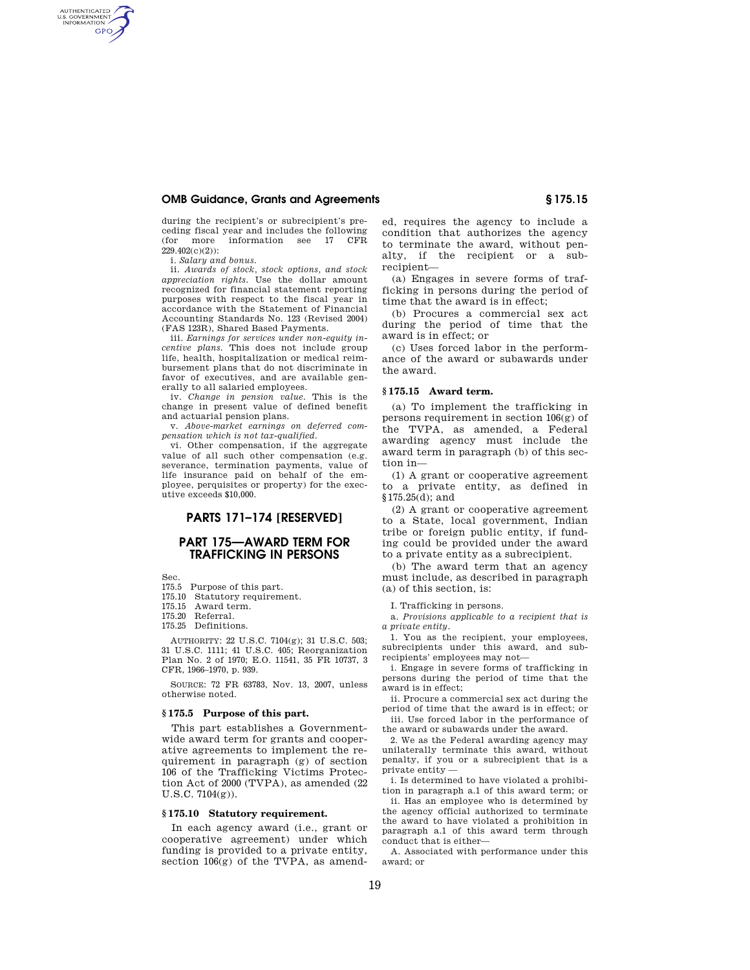### **OMB Guidance, Grants and Agreements § 175.15**

during the recipient's or subrecipient's preceding fiscal year and includes the following<br>(for more information see 17 CFR)  $(for more information see 17)$ 229.402(c)(2)):

i. *Salary and bonus.* 

AUTHENTICATED<br>U.S. GOVERNMENT<br>INFORMATION **GPO** 

> ii. *Awards of stock, stock options, and stock appreciation rights.* Use the dollar amount recognized for financial statement reporting purposes with respect to the fiscal year in accordance with the Statement of Financial Accounting Standards No. 123 (Revised 2004) (FAS 123R), Shared Based Payments.

> iii. *Earnings for services under non-equity incentive plans.* This does not include group life, health, hospitalization or medical reimbursement plans that do not discriminate in favor of executives, and are available generally to all salaried employees.

> iv. *Change in pension value.* This is the change in present value of defined benefit and actuarial pension plans.

> v. *Above-market earnings on deferred compensation which is not tax-qualified.*

> vi. Other compensation, if the aggregate value of all such other compensation (e.g. severance, termination payments, value of life insurance paid on behalf of the employee, perquisites or property) for the executive exceeds \$10,000.

# **PARTS 171–174 [RESERVED]**

## **PART 175—AWARD TERM FOR TRAFFICKING IN PERSONS**

Sec.

- 175.5 Purpose of this part.
- 175.10 Statutory requirement.
- 175.15 Award term.
- 175.20 Referral.
- 175.25 Definitions.

AUTHORITY: 22 U.S.C. 7104(g); 31 U.S.C. 503; 31 U.S.C. 1111; 41 U.S.C. 405; Reorganization Plan No. 2 of 1970; E.O. 11541, 35 FR 10737, 3 CFR, 1966–1970, p. 939.

SOURCE: 72 FR 63783, Nov. 13, 2007, unless otherwise noted.

#### **§ 175.5 Purpose of this part.**

This part establishes a Governmentwide award term for grants and cooperative agreements to implement the requirement in paragraph (g) of section 106 of the Trafficking Victims Protection Act of 2000 (TVPA), as amended (22 U.S.C. 7104(g)).

## **§ 175.10 Statutory requirement.**

In each agency award (i.e., grant or cooperative agreement) under which funding is provided to a private entity, section 106(g) of the TVPA, as amend-

ed, requires the agency to include a condition that authorizes the agency to terminate the award, without penalty, if the recipient or a subrecipient—

(a) Engages in severe forms of trafficking in persons during the period of time that the award is in effect;

(b) Procures a commercial sex act during the period of time that the award is in effect; or

(c) Uses forced labor in the performance of the award or subawards under the award.

## **§ 175.15 Award term.**

(a) To implement the trafficking in persons requirement in section 106(g) of the TVPA, as amended, a Federal awarding agency must include the award term in paragraph (b) of this section in—

(1) A grant or cooperative agreement to a private entity, as defined in §175.25(d); and

(2) A grant or cooperative agreement to a State, local government, Indian tribe or foreign public entity, if funding could be provided under the award to a private entity as a subrecipient.

(b) The award term that an agency must include, as described in paragraph (a) of this section, is:

I. Trafficking in persons.

a. *Provisions applicable to a recipient that is a private entity.* 

1. You as the recipient, your employees, subrecipients under this award, and subrecipients' employees may not—

i. Engage in severe forms of trafficking in persons during the period of time that the award is in effect;

ii. Procure a commercial sex act during the period of time that the award is in effect; or iii. Use forced labor in the performance of

the award or subawards under the award.

2. We as the Federal awarding agency may unilaterally terminate this award, without penalty, if you or a subrecipient that is a private entity —

i. Is determined to have violated a prohibition in paragraph a.1 of this award term; or

ii. Has an employee who is determined by the agency official authorized to terminate the award to have violated a prohibition in paragraph a.1 of this award term through conduct that is either—

A. Associated with performance under this award; or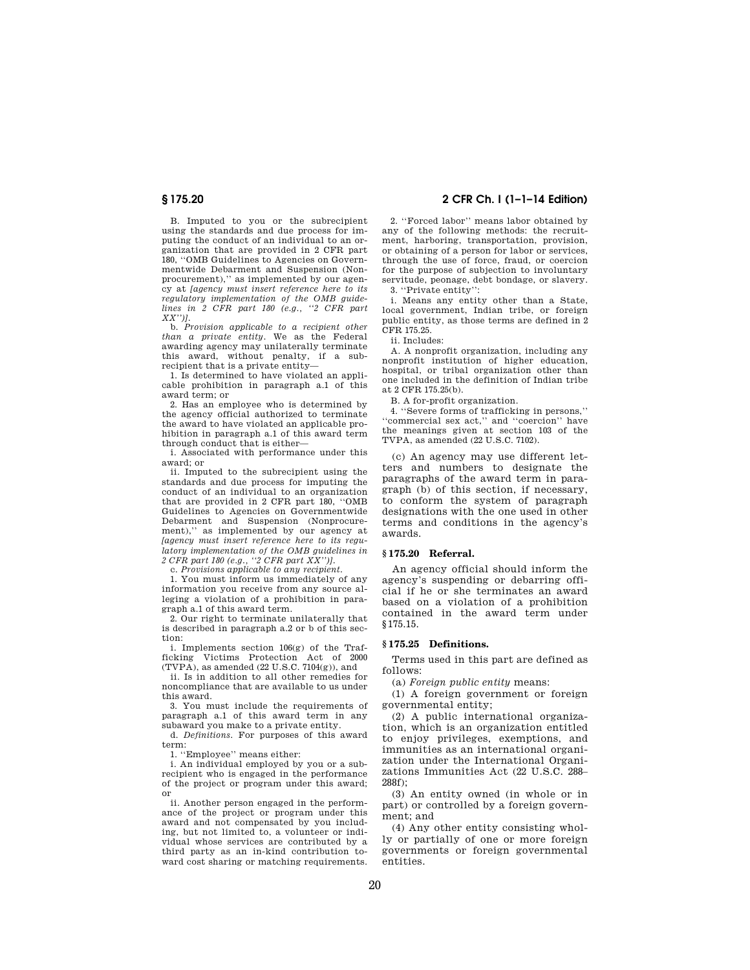B. Imputed to you or the subrecipient using the standards and due process for imputing the conduct of an individual to an organization that are provided in 2 CFR part 180, ''OMB Guidelines to Agencies on Governmentwide Debarment and Suspension (Nonprocurement),'' as implemented by our agency at *[agency must insert reference here to its regulatory implementation of the OMB guidelines in 2 CFR part 180 (e.g., ''2 CFR part XX'')].* 

b. *Provision applicable to a recipient other than a private entity.* We as the Federal awarding agency may unilaterally terminate this award, without penalty, if a subrecipient that is a private entity-

1. Is determined to have violated an applicable prohibition in paragraph a.1 of this award term; or

2. Has an employee who is determined by the agency official authorized to terminate the award to have violated an applicable prohibition in paragraph a.1 of this award term through conduct that is either—

i. Associated with performance under this award; or

ii. Imputed to the subrecipient using the standards and due process for imputing the conduct of an individual to an organization that are provided in 2 CFR part 180, ''OMB Guidelines to Agencies on Governmentwide Debarment and Suspension (Nonprocurement),'' as implemented by our agency at *[agency must insert reference here to its regulatory implementation of the OMB guidelines in 2 CFR part 180 (e.g., ''2 CFR part XX'')].* 

c. *Provisions applicable to any recipient.* 

1. You must inform us immediately of any information you receive from any source alleging a violation of a prohibition in paragraph a.1 of this award term.

2. Our right to terminate unilaterally that is described in paragraph a.2 or b of this section:

i. Implements section 106(g) of the Trafficking Victims Protection Act of 2000  $(TVPA)$ , as amended (22 U.S.C. 7104(g)), and

ii. Is in addition to all other remedies for noncompliance that are available to us under this award.

3. You must include the requirements of paragraph a.1 of this award term in any subaward you make to a private entity.

d. *Definitions.* For purposes of this award term:

1. ''Employee'' means either:

i. An individual employed by you or a subrecipient who is engaged in the performance of the project or program under this award; or

ii. Another person engaged in the performance of the project or program under this award and not compensated by you including, but not limited to, a volunteer or individual whose services are contributed by a third party as an in-kind contribution toward cost sharing or matching requirements.

# **§ 175.20 2 CFR Ch. I (1–1–14 Edition)**

2. ''Forced labor'' means labor obtained by any of the following methods: the recruitment, harboring, transportation, provision, or obtaining of a person for labor or services, through the use of force, fraud, or coercion for the purpose of subjection to involuntary servitude, peonage, debt bondage, or slavery. 3. ''Private entity'':

i. Means any entity other than a State, local government, Indian tribe, or foreign public entity, as those terms are defined in 2 CFR 175.25.

ii. Includes:

A. A nonprofit organization, including any nonprofit institution of higher education, hospital, or tribal organization other than one included in the definition of Indian tribe at 2 CFR 175.25(b).

B. A for-profit organization.

4. ''Severe forms of trafficking in persons,'' ''commercial sex act,'' and ''coercion'' have the meanings given at section 103 of the TVPA, as amended (22 U.S.C. 7102).

(c) An agency may use different letters and numbers to designate the paragraphs of the award term in paragraph (b) of this section, if necessary, to conform the system of paragraph designations with the one used in other terms and conditions in the agency's awards.

## **§ 175.20 Referral.**

An agency official should inform the agency's suspending or debarring official if he or she terminates an award based on a violation of a prohibition contained in the award term under §175.15.

#### **§ 175.25 Definitions.**

Terms used in this part are defined as follows:

(a) *Foreign public entity* means:

(1) A foreign government or foreign governmental entity;

(2) A public international organization, which is an organization entitled to enjoy privileges, exemptions, and immunities as an international organization under the International Organizations Immunities Act (22 U.S.C. 288– 288f);

(3) An entity owned (in whole or in part) or controlled by a foreign government; and

(4) Any other entity consisting wholly or partially of one or more foreign governments or foreign governmental entities.